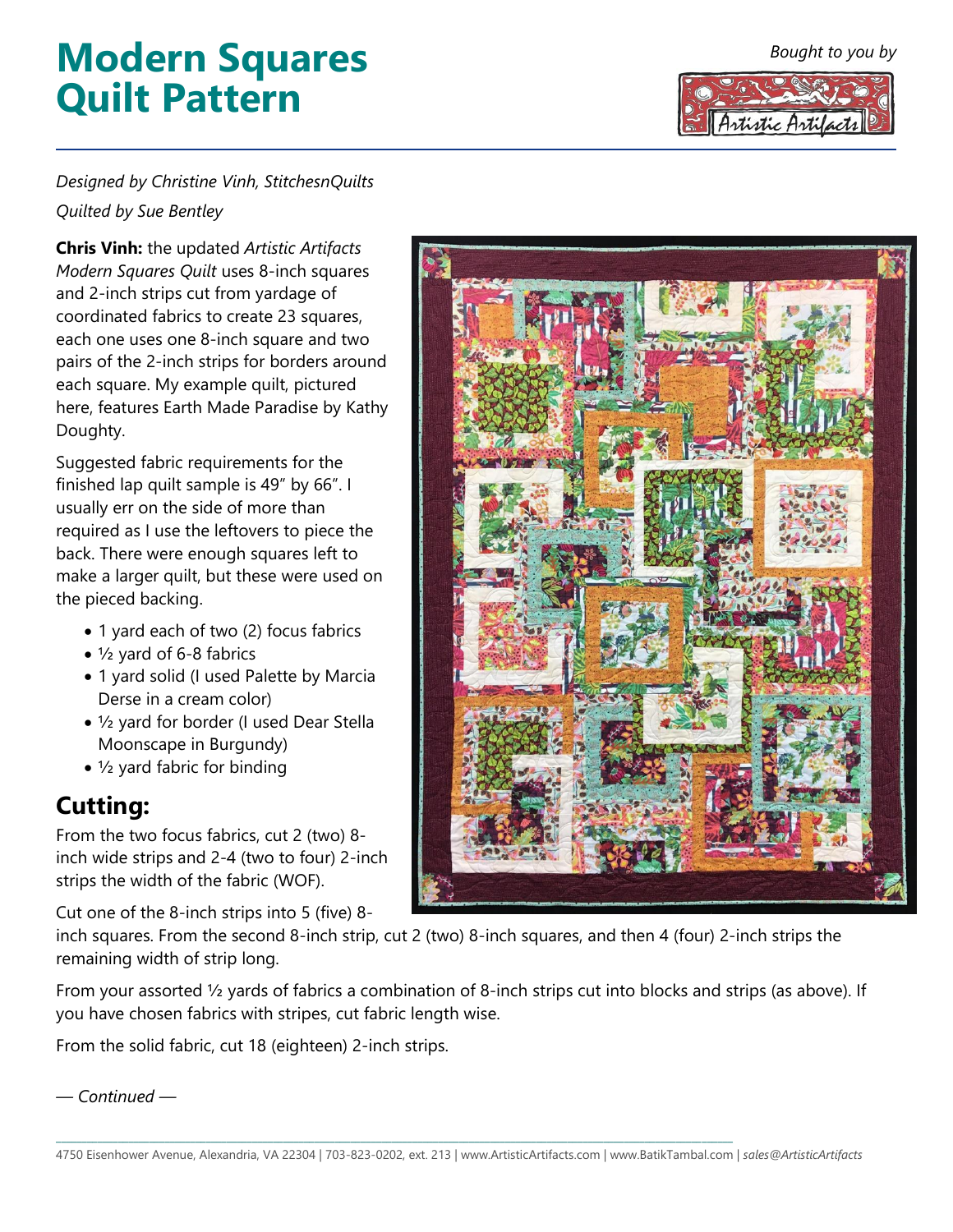#### *Bought to you by*

# **Modern Squares Quilt Pattern**



#### *Designed by Christine Vinh, StitchesnQuilts Quilted by Sue Bentley*

**Chris Vinh:** the updated *Artistic Artifacts Modern Squares Quilt* uses 8-inch squares and 2-inch strips cut from yardage of coordinated fabrics to create 23 squares, each one uses one 8-inch square and two pairs of the 2-inch strips for borders around each square. My example quilt, pictured here, features Earth Made Paradise by Kathy Doughty.

Suggested fabric requirements for the finished lap quilt sample is 49" by 66". I usually err on the side of more than required as I use the leftovers to piece the back. There were enough squares left to make a larger quilt, but these were used on the pieced backing.

- 1 yard each of two (2) focus fabrics
- ½ yard of 6-8 fabrics
- 1 yard solid (I used Palette by Marcia Derse in a cream color)
- ½ yard for border (I used Dear Stella Moonscape in Burgundy)
- ½ yard fabric for binding

#### **Cutting:**

From the two focus fabrics, cut 2 (two) 8 inch wide strips and 2-4 (two to four) 2-inch strips the width of the fabric (WOF).

Cut one of the 8-inch strips into 5 (five) 8-

inch squares. From the second 8-inch strip, cut 2 (two) 8-inch squares, and then 4 (four) 2-inch strips the remaining width of strip long.

From your assorted ½ yards of fabrics a combination of 8-inch strips cut into blocks and strips (as above). If you have chosen fabrics with stripes, cut fabric length wise.

From the solid fabric, cut 18 (eighteen) 2-inch strips.

*— Continued —*



\_\_\_\_\_\_\_\_\_\_\_\_\_\_\_\_\_\_\_\_\_\_\_\_\_\_\_\_\_\_\_\_\_\_\_\_\_\_\_\_\_\_\_\_\_\_\_\_\_\_\_\_\_\_\_\_\_\_\_\_\_\_\_\_\_\_\_\_\_\_\_\_\_\_\_\_\_\_\_\_\_\_\_\_\_\_\_\_\_\_\_\_\_\_\_\_\_\_\_\_\_\_\_\_\_\_\_\_\_\_\_\_\_\_\_\_\_\_\_\_\_\_\_\_\_\_\_\_\_\_\_